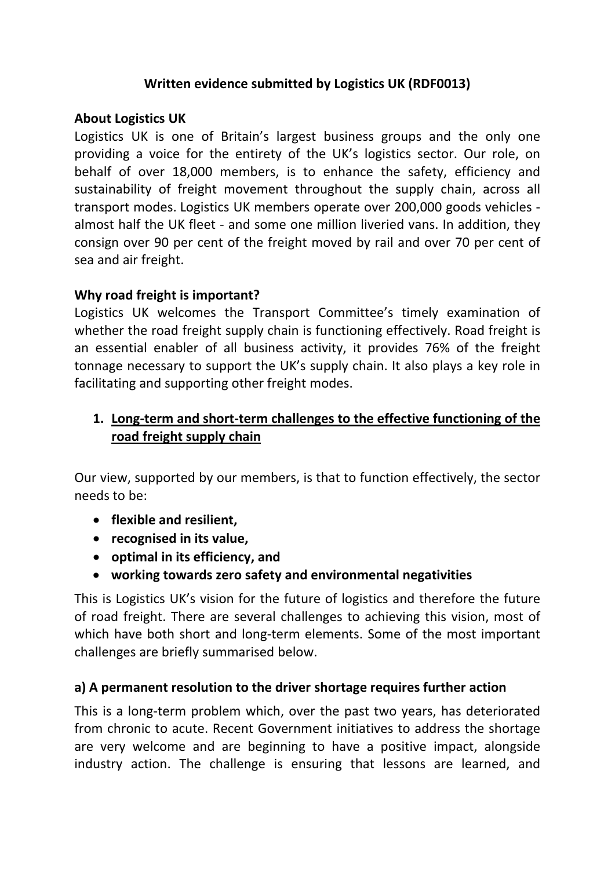#### **Written evidence submitted by Logistics UK (RDF0013)**

#### **About Logistics UK**

Logistics UK is one of Britain's largest business groups and the only one providing a voice for the entirety of the UK's logistics sector. Our role, on behalf of over 18,000 members, is to enhance the safety, efficiency and sustainability of freight movement throughout the supply chain, across all transport modes. Logistics UK members operate over 200,000 goods vehicles almost half the UK fleet - and some one million liveried vans. In addition, they consign over 90 per cent of the freight moved by rail and over 70 per cent of sea and air freight.

## **Why road freight is important?**

Logistics UK welcomes the Transport Committee's timely examination of whether the road freight supply chain is functioning effectively. Road freight is an essential enabler of all business activity, it provides 76% of the freight tonnage necessary to support the UK's supply chain. It also plays a key role in facilitating and supporting other freight modes.

# **1. Long-term and short-term challenges to the effective functioning of the road freight supply chain**

Our view, supported by our members, is that to function effectively, the sector needs to be:

- **flexible and resilient,**
- **recognised in its value,**
- **optimal in its efficiency, and**
- **working towards zero safety and environmental negativities**

This is Logistics UK's vision for the future of logistics and therefore the future of road freight. There are several challenges to achieving this vision, most of which have both short and long-term elements. Some of the most important challenges are briefly summarised below.

## **a) A permanent resolution to the driver shortage requires further action**

This is a long-term problem which, over the past two years, has deteriorated from chronic to acute. Recent Government initiatives to address the shortage are very welcome and are beginning to have a positive impact, alongside industry action. The challenge is ensuring that lessons are learned, and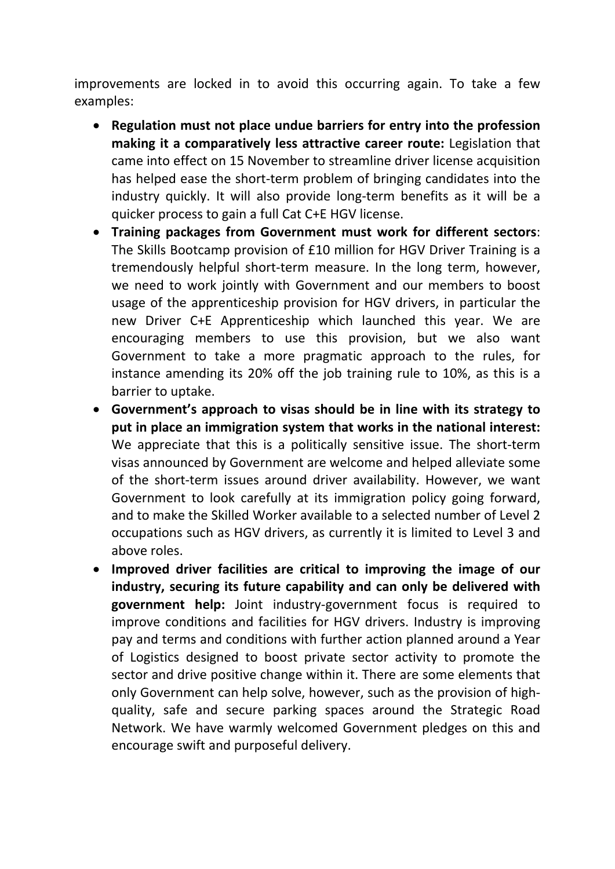improvements are locked in to avoid this occurring again. To take a few examples:

- **Regulation must not place undue barriers for entry into the profession making it a comparatively less attractive career route:** Legislation that came into effect on 15 November to streamline driver license acquisition has helped ease the short-term problem of bringing candidates into the industry quickly. It will also provide long-term benefits as it will be a quicker process to gain a full Cat C+E HGV license.
- **Training packages from Government must work for different sectors**: The Skills Bootcamp provision of £10 million for HGV Driver Training is a tremendously helpful short-term measure. In the long term, however, we need to work jointly with Government and our members to boost usage of the apprenticeship provision for HGV drivers, in particular the new Driver C+E Apprenticeship which launched this year. We are encouraging members to use this provision, but we also want Government to take a more pragmatic approach to the rules, for instance amending its 20% off the job training rule to 10%, as this is a barrier to uptake.
- **Government's approach to visas should be in line with its strategy to put in place an immigration system that works in the national interest:** We appreciate that this is a politically sensitive issue. The short-term visas announced by Government are welcome and helped alleviate some of the short-term issues around driver availability. However, we want Government to look carefully at its immigration policy going forward, and to make the Skilled Worker available to a selected number of Level 2 occupations such as HGV drivers, as currently it is limited to Level 3 and above roles.
- **Improved driver facilities are critical to improving the image of our industry, securing its future capability and can only be delivered with government help:** Joint industry-government focus is required to improve conditions and facilities for HGV drivers. Industry is improving pay and terms and conditions with further action planned around a Year of Logistics designed to boost private sector activity to promote the sector and drive positive change within it. There are some elements that only Government can help solve, however, such as the provision of highquality, safe and secure parking spaces around the Strategic Road Network. We have warmly welcomed Government pledges on this and encourage swift and purposeful delivery.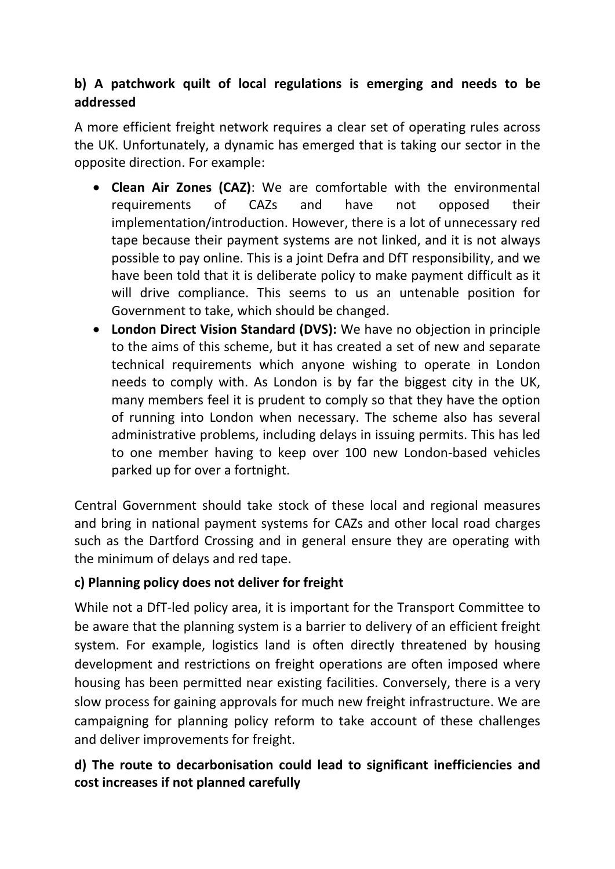# **b) A patchwork quilt of local regulations is emerging and needs to be addressed**

A more efficient freight network requires a clear set of operating rules across the UK. Unfortunately, a dynamic has emerged that is taking our sector in the opposite direction. For example:

- **Clean Air Zones (CAZ)**: We are comfortable with the environmental requirements of CAZs and have not opposed their implementation/introduction. However, there is a lot of unnecessary red tape because their payment systems are not linked, and it is not always possible to pay online. This is a joint Defra and DfT responsibility, and we have been told that it is deliberate policy to make payment difficult as it will drive compliance. This seems to us an untenable position for Government to take, which should be changed.
- **London Direct Vision Standard (DVS):** We have no objection in principle to the aims of this scheme, but it has created a set of new and separate technical requirements which anyone wishing to operate in London needs to comply with. As London is by far the biggest city in the UK, many members feel it is prudent to comply so that they have the option of running into London when necessary. The scheme also has several administrative problems, including delays in issuing permits. This has led to one member having to keep over 100 new London-based vehicles parked up for over a fortnight.

Central Government should take stock of these local and regional measures and bring in national payment systems for CAZs and other local road charges such as the Dartford Crossing and in general ensure they are operating with the minimum of delays and red tape.

## **c) Planning policy does not deliver for freight**

While not a DfT-led policy area, it is important for the Transport Committee to be aware that the planning system is a barrier to delivery of an efficient freight system. For example, logistics land is often directly threatened by housing development and restrictions on freight operations are often imposed where housing has been permitted near existing facilities. Conversely, there is a very slow process for gaining approvals for much new freight infrastructure. We are campaigning for planning policy reform to take account of these challenges and deliver improvements for freight.

# **d) The route to decarbonisation could lead to significant inefficiencies and cost increases if not planned carefully**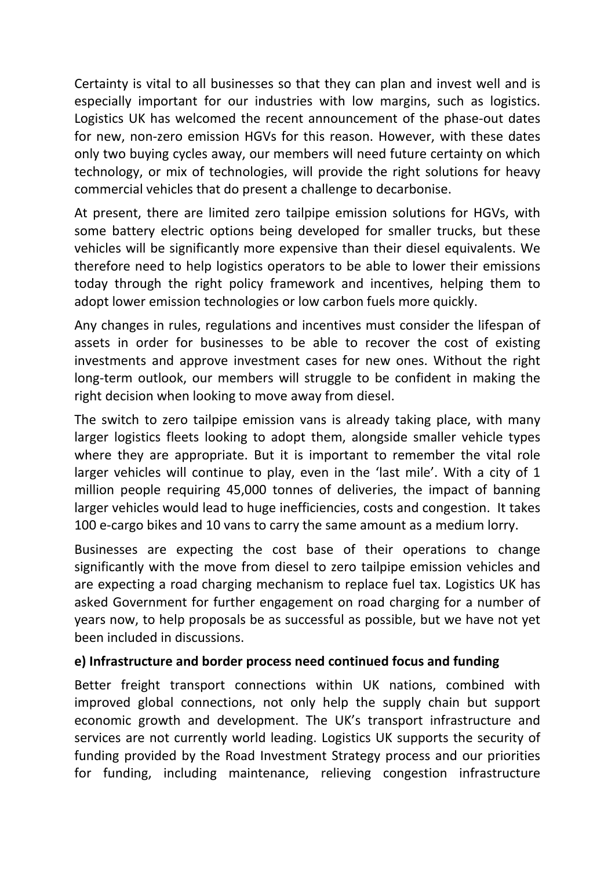Certainty is vital to all businesses so that they can plan and invest well and is especially important for our industries with low margins, such as logistics. Logistics UK has welcomed the recent announcement of the phase-out dates for new, non-zero emission HGVs for this reason. However, with these dates only two buying cycles away, our members will need future certainty on which technology, or mix of technologies, will provide the right solutions for heavy commercial vehicles that do present a challenge to decarbonise.

At present, there are limited zero tailpipe emission solutions for HGVs, with some battery electric options being developed for smaller trucks, but these vehicles will be significantly more expensive than their diesel equivalents. We therefore need to help logistics operators to be able to lower their emissions today through the right policy framework and incentives, helping them to adopt lower emission technologies or low carbon fuels more quickly.

Any changes in rules, regulations and incentives must consider the lifespan of assets in order for businesses to be able to recover the cost of existing investments and approve investment cases for new ones. Without the right long-term outlook, our members will struggle to be confident in making the right decision when looking to move away from diesel.

The switch to zero tailpipe emission vans is already taking place, with many larger logistics fleets looking to adopt them, alongside smaller vehicle types where they are appropriate. But it is important to remember the vital role larger vehicles will continue to play, even in the 'last mile'. With a city of 1 million people requiring 45,000 tonnes of deliveries, the impact of banning larger vehicles would lead to huge inefficiencies, costs and congestion. It takes 100 e-cargo bikes and 10 vans to carry the same amount as a medium lorry.

Businesses are expecting the cost base of their operations to change significantly with the move from diesel to zero tailpipe emission vehicles and are expecting a road charging mechanism to replace fuel tax. Logistics UK has asked Government for further engagement on road charging for a number of years now, to help proposals be as successful as possible, but we have not yet been included in discussions.

#### **e) Infrastructure and border process need continued focus and funding**

Better freight transport connections within UK nations, combined with improved global connections, not only help the supply chain but support economic growth and development. The UK's transport infrastructure and services are not currently world leading. Logistics UK supports the security of funding provided by the Road Investment Strategy process and our priorities for funding, including maintenance, relieving congestion infrastructure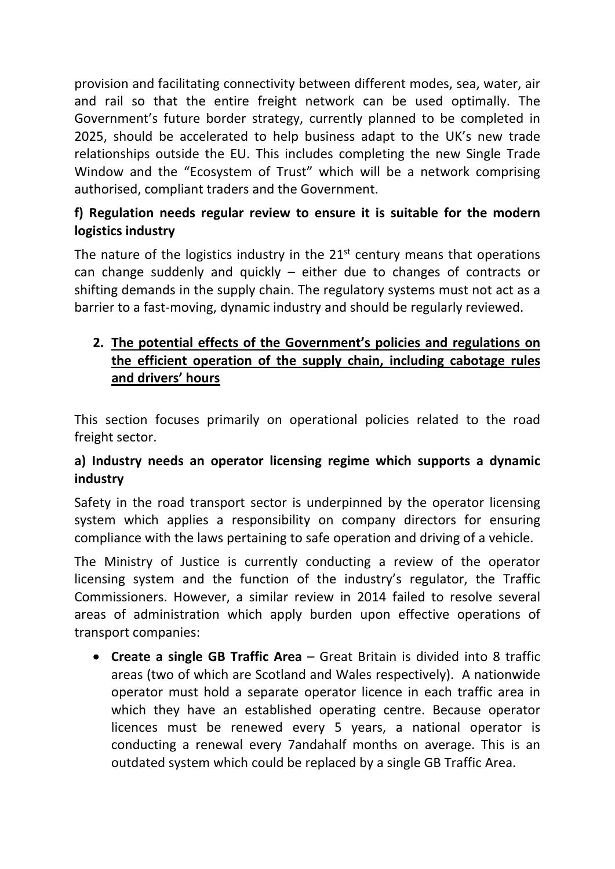provision and facilitating connectivity between different modes, sea, water, air and rail so that the entire freight network can be used optimally. The Government's future border strategy, currently planned to be completed in 2025, should be accelerated to help business adapt to the UK's new trade relationships outside the EU. This includes completing the new Single Trade Window and the "Ecosystem of Trust" which will be a network comprising authorised, compliant traders and the Government.

# **f) Regulation needs regular review to ensure it is suitable for the modern logistics industry**

The nature of the logistics industry in the  $21<sup>st</sup>$  century means that operations can change suddenly and quickly – either due to changes of contracts or shifting demands in the supply chain. The regulatory systems must not act as a barrier to a fast-moving, dynamic industry and should be regularly reviewed.

# **2. The potential effects of the Government's policies and regulations on the efficient operation of the supply chain, including cabotage rules and drivers' hours**

This section focuses primarily on operational policies related to the road freight sector.

# **a) Industry needs an operator licensing regime which supports a dynamic industry**

Safety in the road transport sector is underpinned by the operator licensing system which applies a responsibility on company directors for ensuring compliance with the laws pertaining to safe operation and driving of a vehicle.

The Ministry of Justice is currently conducting a review of the operator licensing system and the function of the industry's regulator, the Traffic Commissioners. However, a similar review in 2014 failed to resolve several areas of administration which apply burden upon effective operations of transport companies:

 **Create a single GB Traffic Area** – Great Britain is divided into 8 traffic areas (two of which are Scotland and Wales respectively). A nationwide operator must hold a separate operator licence in each traffic area in which they have an established operating centre. Because operator licences must be renewed every 5 years, a national operator is conducting a renewal every 7andahalf months on average. This is an outdated system which could be replaced by a single GB Traffic Area.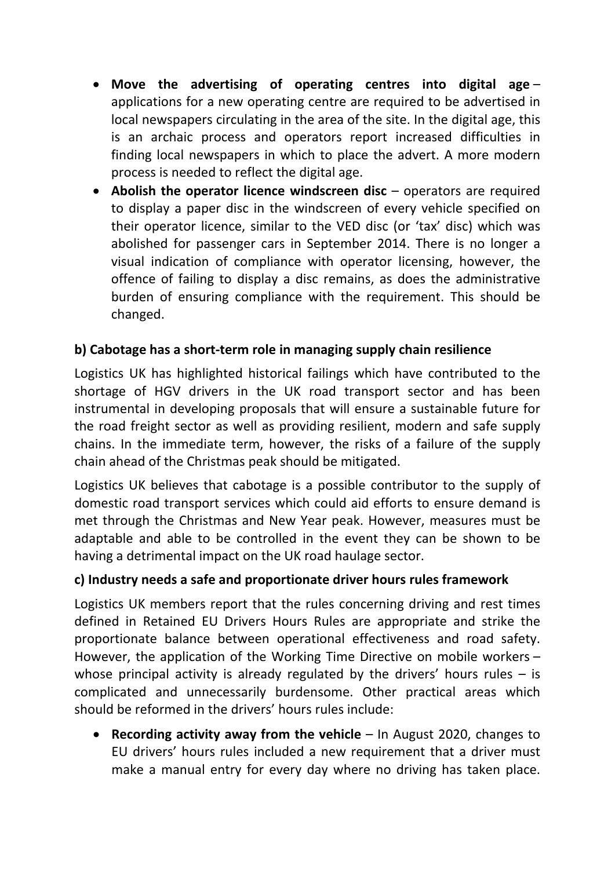- **Move the advertising of operating centres into digital age** applications for a new operating centre are required to be advertised in local newspapers circulating in the area of the site. In the digital age, this is an archaic process and operators report increased difficulties in finding local newspapers in which to place the advert. A more modern process is needed to reflect the digital age.
- **Abolish the operator licence windscreen disc** operators are required to display a paper disc in the windscreen of every vehicle specified on their operator licence, similar to the VED disc (or 'tax' disc) which was abolished for passenger cars in September 2014. There is no longer a visual indication of compliance with operator licensing, however, the offence of failing to display a disc remains, as does the administrative burden of ensuring compliance with the requirement. This should be changed.

## **b) Cabotage has a short-term role in managing supply chain resilience**

Logistics UK has highlighted historical failings which have contributed to the shortage of HGV drivers in the UK road transport sector and has been instrumental in developing proposals that will ensure a sustainable future for the road freight sector as well as providing resilient, modern and safe supply chains. In the immediate term, however, the risks of a failure of the supply chain ahead of the Christmas peak should be mitigated.

Logistics UK believes that cabotage is a possible contributor to the supply of domestic road transport services which could aid efforts to ensure demand is met through the Christmas and New Year peak. However, measures must be adaptable and able to be controlled in the event they can be shown to be having a detrimental impact on the UK road haulage sector.

#### **c) Industry needs a safe and proportionate driver hours rules framework**

Logistics UK members report that the rules concerning driving and rest times defined in Retained EU Drivers Hours Rules are appropriate and strike the proportionate balance between operational effectiveness and road safety. However, the application of the Working Time Directive on mobile workers – whose principal activity is already regulated by the drivers' hours rules  $-$  is complicated and unnecessarily burdensome. Other practical areas which should be reformed in the drivers' hours rules include:

 **Recording activity away from the vehicle** – In August 2020, changes to EU drivers' hours rules included a new requirement that a driver must make a manual entry for every day where no driving has taken place.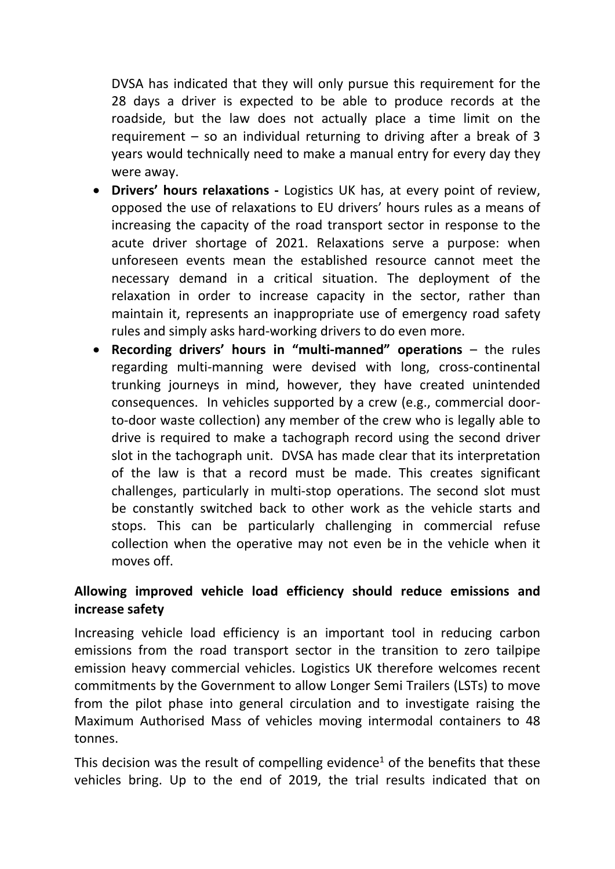DVSA has indicated that they will only pursue this requirement for the 28 days a driver is expected to be able to produce records at the roadside, but the law does not actually place a time limit on the requirement – so an individual returning to driving after a break of 3 years would technically need to make a manual entry for every day they were away.

- **Drivers' hours relaxations -** Logistics UK has, at every point of review, opposed the use of relaxations to EU drivers' hours rules as a means of increasing the capacity of the road transport sector in response to the acute driver shortage of 2021. Relaxations serve a purpose: when unforeseen events mean the established resource cannot meet the necessary demand in a critical situation. The deployment of the relaxation in order to increase capacity in the sector, rather than maintain it, represents an inappropriate use of emergency road safety rules and simply asks hard-working drivers to do even more.
- **Recording drivers' hours in "multi-manned" operations** the rules regarding multi-manning were devised with long, cross-continental trunking journeys in mind, however, they have created unintended consequences. In vehicles supported by a crew (e.g., commercial doorto-door waste collection) any member of the crew who is legally able to drive is required to make a tachograph record using the second driver slot in the tachograph unit. DVSA has made clear that its interpretation of the law is that a record must be made. This creates significant challenges, particularly in multi-stop operations. The second slot must be constantly switched back to other work as the vehicle starts and stops. This can be particularly challenging in commercial refuse collection when the operative may not even be in the vehicle when it moves off.

## **Allowing improved vehicle load efficiency should reduce emissions and increase safety**

Increasing vehicle load efficiency is an important tool in reducing carbon emissions from the road transport sector in the transition to zero tailpipe emission heavy commercial vehicles. Logistics UK therefore welcomes recent commitments by the Government to allow Longer Semi Trailers (LSTs) to move from the pilot phase into general circulation and to investigate raising the Maximum Authorised Mass of vehicles moving intermodal containers to 48 tonnes.

This decision was the result of compelling evidence<sup>1</sup> of the benefits that these vehicles bring. Up to the end of 2019, the trial results indicated that on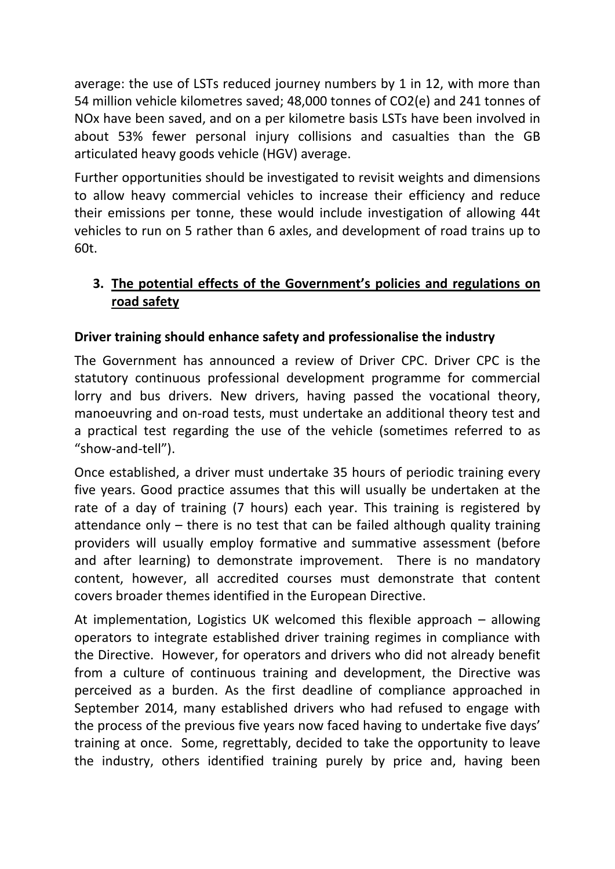average: the use of LSTs reduced journey numbers by 1 in 12, with more than 54 million vehicle kilometres saved; 48,000 tonnes of CO2(e) and 241 tonnes of NOx have been saved, and on a per kilometre basis LSTs have been involved in about 53% fewer personal injury collisions and casualties than the GB articulated heavy goods vehicle (HGV) average.

Further opportunities should be investigated to revisit weights and dimensions to allow heavy commercial vehicles to increase their efficiency and reduce their emissions per tonne, these would include investigation of allowing 44t vehicles to run on 5 rather than 6 axles, and development of road trains up to 60t.

# **3. The potential effects of the Government's policies and regulations on road safety**

# **Driver training should enhance safety and professionalise the industry**

The Government has announced a review of Driver CPC. Driver CPC is the statutory continuous professional development programme for commercial lorry and bus drivers. New drivers, having passed the vocational theory, manoeuvring and on-road tests, must undertake an additional theory test and a practical test regarding the use of the vehicle (sometimes referred to as "show-and-tell").

Once established, a driver must undertake 35 hours of periodic training every five years. Good practice assumes that this will usually be undertaken at the rate of a day of training (7 hours) each year. This training is registered by attendance only – there is no test that can be failed although quality training providers will usually employ formative and summative assessment (before and after learning) to demonstrate improvement. There is no mandatory content, however, all accredited courses must demonstrate that content covers broader themes identified in the European Directive.

At implementation, Logistics UK welcomed this flexible approach – allowing operators to integrate established driver training regimes in compliance with the Directive. However, for operators and drivers who did not already benefit from a culture of continuous training and development, the Directive was perceived as a burden. As the first deadline of compliance approached in September 2014, many established drivers who had refused to engage with the process of the previous five years now faced having to undertake five days' training at once. Some, regrettably, decided to take the opportunity to leave the industry, others identified training purely by price and, having been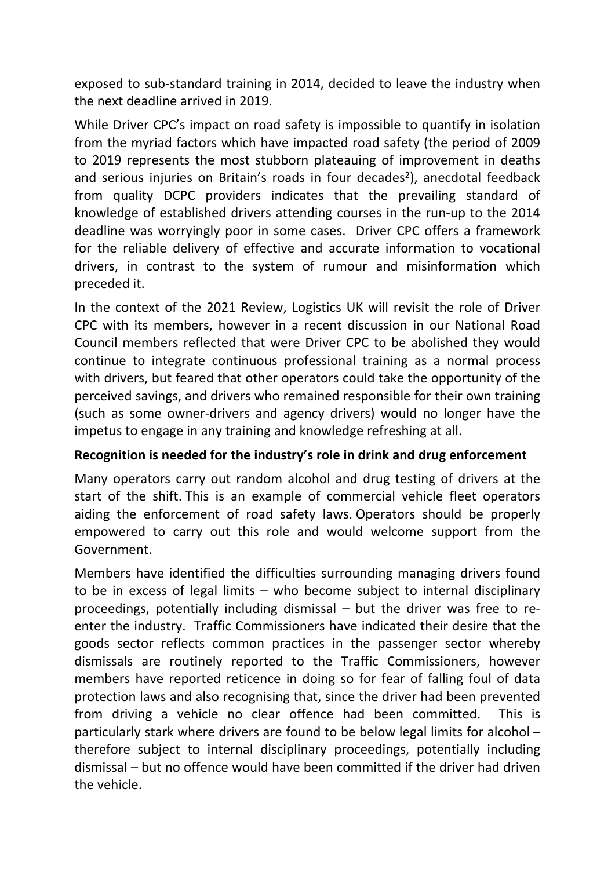exposed to sub-standard training in 2014, decided to leave the industry when the next deadline arrived in 2019.

While Driver CPC's impact on road safety is impossible to quantify in isolation from the myriad factors which have impacted road safety (the period of 2009 to 2019 represents the most stubborn plateauing of improvement in deaths and serious injuries on Britain's roads in four decades<sup>2</sup>), anecdotal feedback from quality DCPC providers indicates that the prevailing standard of knowledge of established drivers attending courses in the run-up to the 2014 deadline was worryingly poor in some cases. Driver CPC offers a framework for the reliable delivery of effective and accurate information to vocational drivers, in contrast to the system of rumour and misinformation which preceded it.

In the context of the 2021 Review, Logistics UK will revisit the role of Driver CPC with its members, however in a recent discussion in our National Road Council members reflected that were Driver CPC to be abolished they would continue to integrate continuous professional training as a normal process with drivers, but feared that other operators could take the opportunity of the perceived savings, and drivers who remained responsible for their own training (such as some owner-drivers and agency drivers) would no longer have the impetus to engage in any training and knowledge refreshing at all.

#### **Recognition is needed for the industry's role in drink and drug enforcement**

Many operators carry out random alcohol and drug testing of drivers at the start of the shift. This is an example of commercial vehicle fleet operators aiding the enforcement of road safety laws. Operators should be properly empowered to carry out this role and would welcome support from the Government.

Members have identified the difficulties surrounding managing drivers found to be in excess of legal limits – who become subject to internal disciplinary proceedings, potentially including dismissal – but the driver was free to reenter the industry. Traffic Commissioners have indicated their desire that the goods sector reflects common practices in the passenger sector whereby dismissals are routinely reported to the Traffic Commissioners, however members have reported reticence in doing so for fear of falling foul of data protection laws and also recognising that, since the driver had been prevented from driving a vehicle no clear offence had been committed. This is particularly stark where drivers are found to be below legal limits for alcohol – therefore subject to internal disciplinary proceedings, potentially including dismissal – but no offence would have been committed if the driver had driven the vehicle.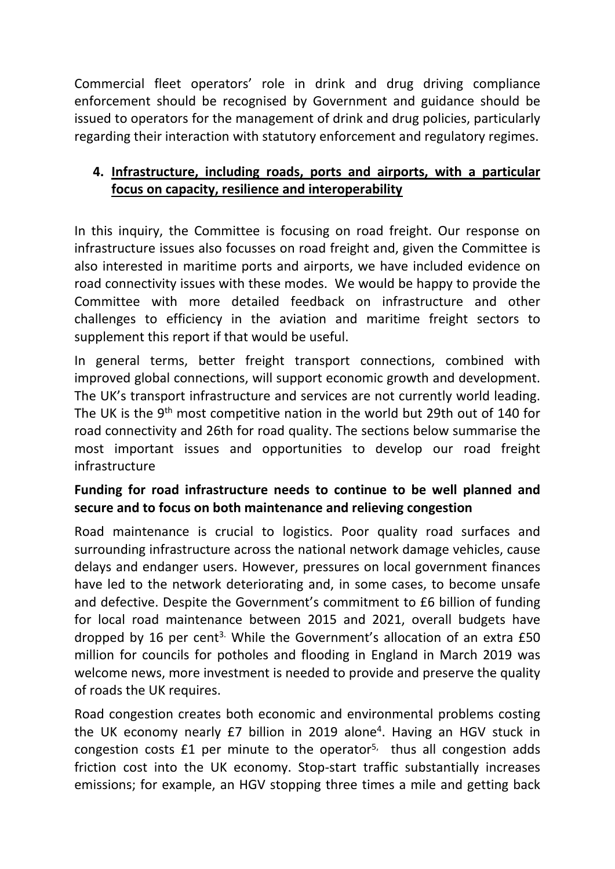Commercial fleet operators' role in drink and drug driving compliance enforcement should be recognised by Government and guidance should be issued to operators for the management of drink and drug policies, particularly regarding their interaction with statutory enforcement and regulatory regimes.

## **4. Infrastructure, including roads, ports and airports, with a particular focus on capacity, resilience and interoperability**

In this inquiry, the Committee is focusing on road freight. Our response on infrastructure issues also focusses on road freight and, given the Committee is also interested in maritime ports and airports, we have included evidence on road connectivity issues with these modes. We would be happy to provide the Committee with more detailed feedback on infrastructure and other challenges to efficiency in the aviation and maritime freight sectors to supplement this report if that would be useful.

In general terms, better freight transport connections, combined with improved global connections, will support economic growth and development. The UK's transport infrastructure and services are not currently world leading. The UK is the 9<sup>th</sup> most competitive nation in the world but 29th out of 140 for road connectivity and 26th for road quality. The sections below summarise the most important issues and opportunities to develop our road freight infrastructure

# **Funding for road infrastructure needs to continue to be well planned and secure and to focus on both maintenance and relieving congestion**

Road maintenance is crucial to logistics. Poor quality road surfaces and surrounding infrastructure across the national network damage vehicles, cause delays and endanger users. However, pressures on local government finances have led to the network deteriorating and, in some cases, to become unsafe and defective. Despite the Government's commitment to £6 billion of funding for local road maintenance between 2015 and 2021, overall budgets have dropped by 16 per cent<sup>3.</sup> While the Government's allocation of an extra £50 million for councils for potholes and flooding in England in March 2019 was welcome news, more investment is needed to provide and preserve the quality of roads the UK requires.

Road congestion creates both economic and environmental problems costing the UK economy nearly £7 billion in 2019 alone<sup>4</sup>. Having an HGV stuck in congestion costs £1 per minute to the operator<sup>5,</sup> thus all congestion adds friction cost into the UK economy. Stop-start traffic substantially increases emissions; for example, an HGV stopping three times a mile and getting back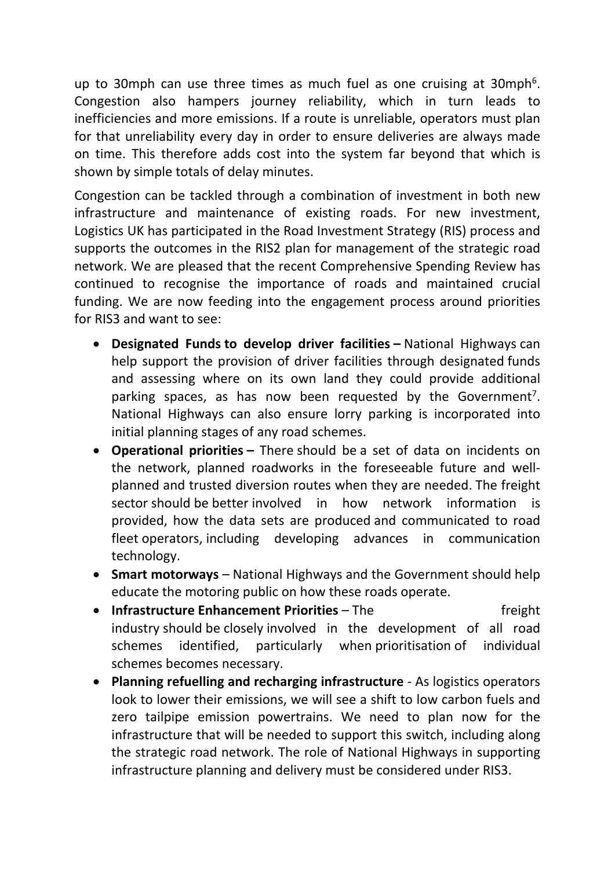up to 30mph can use three times as much fuel as one cruising at 30mph<sup>6</sup>. Congestion also hampers journey reliability, which in turn leads to inefficiencies and more emissions. If a route is unreliable, operators must plan for that unreliability every day in order to ensure deliveries are always made on time. This therefore adds cost into the system far beyond that which is shown by simple totals of delay minutes.

Congestion can be tackled through a combination of investment in both new infrastructure and maintenance of existing roads. For new investment, Logistics UK has participated in the Road Investment Strategy (RIS) process and supports the outcomes in the RIS2 plan for management of the strategic road network. We are pleased that the recent Comprehensive Spending Review has continued to recognise the importance of roads and maintained crucial funding. We are now feeding into the engagement process around priorities for RIS3 and want to see:

- **Designated Funds to develop driver facilities –** National Highways can help support the provision of driver facilities through designated funds and assessing where on its own land they could provide additional parking spaces, as has now been requested by the Government<sup>7</sup>. National Highways can also ensure lorry parking is incorporated into initial planning stages of any road schemes.
- **Operational priorities –** There should be a set of data on incidents on the network, planned roadworks in the foreseeable future and wellplanned and trusted diversion routes when they are needed. The freight sector should be better involved in how network information is provided, how the data sets are produced and communicated to road fleet operators, including developing advances in communication technology.
- **Smart motorways** National Highways and the Government should help educate the motoring public on how these roads operate.
- **Infrastructure Enhancement Priorities** The **Enhancement Priorities** The freight industry should be closely involved in the development of all road schemes identified, particularly when prioritisation of individual schemes becomes necessary.
- **Planning refuelling and recharging infrastructure** As logistics operators look to lower their emissions, we will see a shift to low carbon fuels and zero tailpipe emission powertrains. We need to plan now for the infrastructure that will be needed to support this switch, including along the strategic road network. The role of National Highways in supporting infrastructure planning and delivery must be considered under RIS3.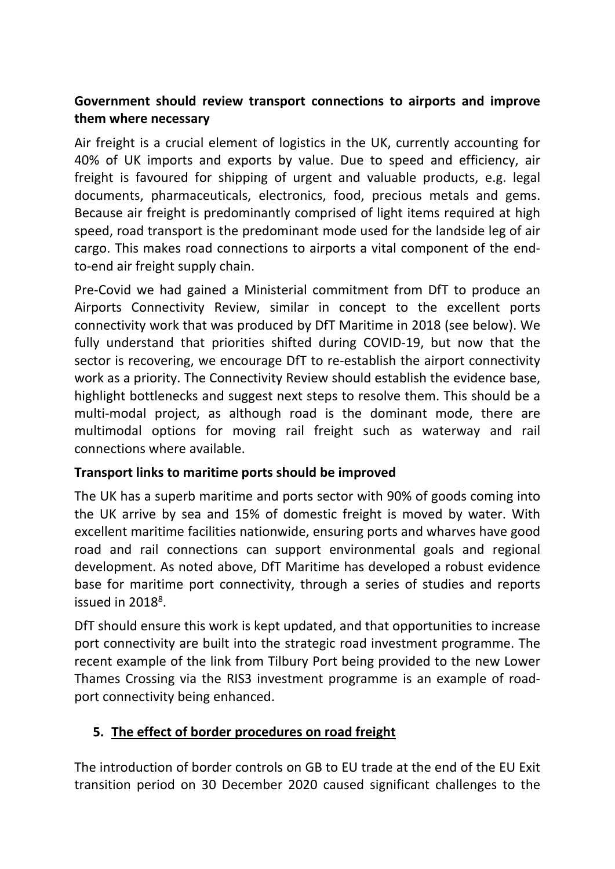# **Government should review transport connections to airports and improve them where necessary**

Air freight is a crucial element of logistics in the UK, currently accounting for 40% of UK imports and exports by value. Due to speed and efficiency, air freight is favoured for shipping of urgent and valuable products, e.g. legal documents, pharmaceuticals, electronics, food, precious metals and gems. Because air freight is predominantly comprised of light items required at high speed, road transport is the predominant mode used for the landside leg of air cargo. This makes road connections to airports a vital component of the endto-end air freight supply chain.

Pre-Covid we had gained a Ministerial commitment from DfT to produce an Airports Connectivity Review, similar in concept to the excellent ports connectivity work that was produced by DfT Maritime in 2018 (see below). We fully understand that priorities shifted during COVID-19, but now that the sector is recovering, we encourage DfT to re-establish the airport connectivity work as a priority. The Connectivity Review should establish the evidence base, highlight bottlenecks and suggest next steps to resolve them. This should be a multi-modal project, as although road is the dominant mode, there are multimodal options for moving rail freight such as waterway and rail connections where available.

## **Transport links to maritime ports should be improved**

The UK has a superb maritime and ports sector with 90% of goods coming into the UK arrive by sea and 15% of domestic freight is moved by water. With excellent maritime facilities nationwide, ensuring ports and wharves have good road and rail connections can support environmental goals and regional development. As noted above, DfT Maritime has developed a robust evidence base for maritime port connectivity, through a series of studies and reports issued in 2018<sup>8</sup>.

DfT should ensure this work is kept updated, and that opportunities to increase port connectivity are built into the strategic road investment programme. The recent example of the link from Tilbury Port being provided to the new Lower Thames Crossing via the RIS3 investment programme is an example of roadport connectivity being enhanced.

## **5. The effect of border procedures on road freight**

The introduction of border controls on GB to EU trade at the end of the EU Exit transition period on 30 December 2020 caused significant challenges to the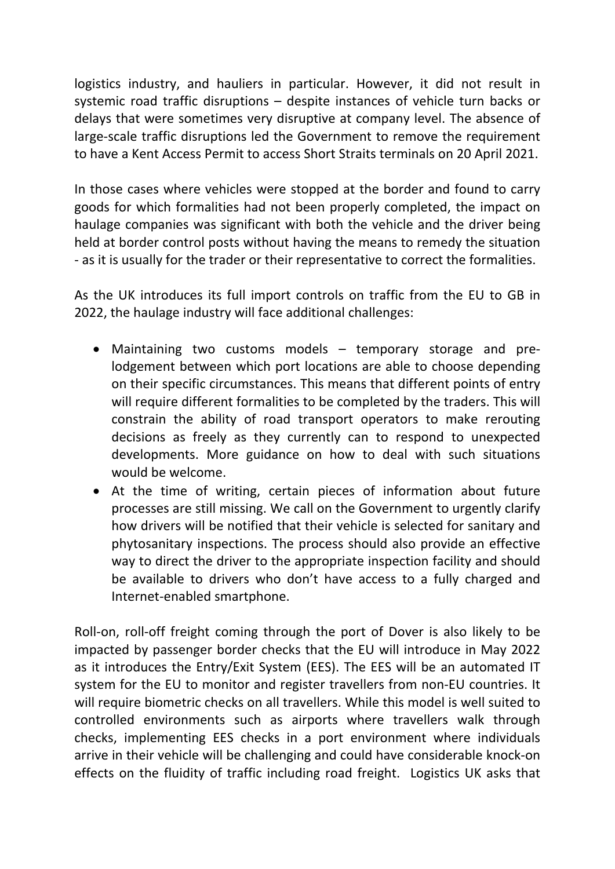logistics industry, and hauliers in particular. However, it did not result in systemic road traffic disruptions – despite instances of vehicle turn backs or delays that were sometimes very disruptive at company level. The absence of large-scale traffic disruptions led the Government to remove the requirement to have a Kent Access Permit to access Short Straits terminals on 20 April 2021.

In those cases where vehicles were stopped at the border and found to carry goods for which formalities had not been properly completed, the impact on haulage companies was significant with both the vehicle and the driver being held at border control posts without having the means to remedy the situation - as it is usually for the trader or their representative to correct the formalities.

As the UK introduces its full import controls on traffic from the EU to GB in 2022, the haulage industry will face additional challenges:

- Maintaining two customs models temporary storage and prelodgement between which port locations are able to choose depending on their specific circumstances. This means that different points of entry will require different formalities to be completed by the traders. This will constrain the ability of road transport operators to make rerouting decisions as freely as they currently can to respond to unexpected developments. More guidance on how to deal with such situations would be welcome.
- At the time of writing, certain pieces of information about future processes are still missing. We call on the Government to urgently clarify how drivers will be notified that their vehicle is selected for sanitary and phytosanitary inspections. The process should also provide an effective way to direct the driver to the appropriate inspection facility and should be available to drivers who don't have access to a fully charged and Internet-enabled smartphone.

Roll-on, roll-off freight coming through the port of Dover is also likely to be impacted by passenger border checks that the EU will introduce in May 2022 as it introduces the Entry/Exit System (EES). The EES will be an automated IT system for the EU to monitor and register travellers from non-EU countries. It will require biometric checks on all travellers. While this model is well suited to controlled environments such as airports where travellers walk through checks, implementing EES checks in a port environment where individuals arrive in their vehicle will be challenging and could have considerable knock-on effects on the fluidity of traffic including road freight. Logistics UK asks that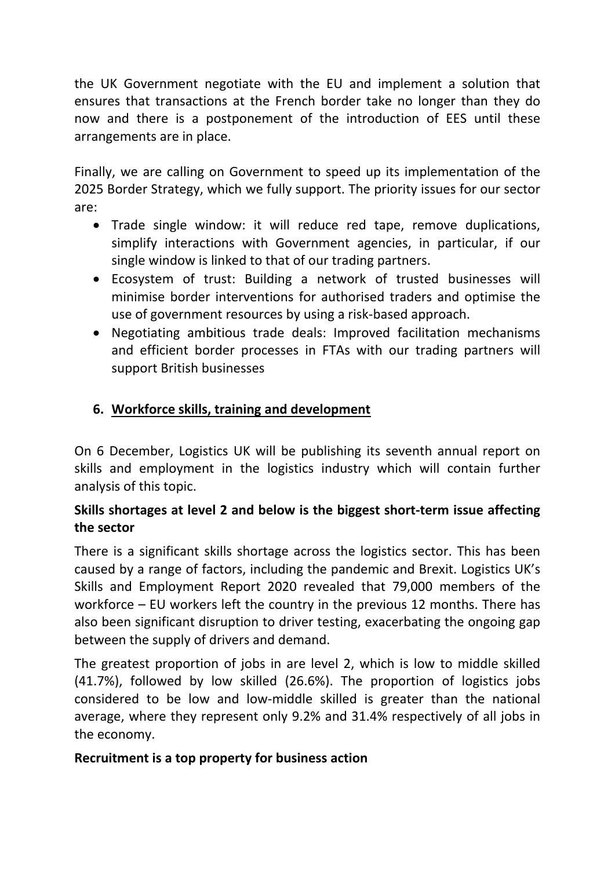the UK Government negotiate with the EU and implement a solution that ensures that transactions at the French border take no longer than they do now and there is a postponement of the introduction of EES until these arrangements are in place.

Finally, we are calling on Government to speed up its implementation of the 2025 Border Strategy, which we fully support. The priority issues for our sector are:

- Trade single window: it will reduce red tape, remove duplications, simplify interactions with Government agencies, in particular, if our single window is linked to that of our trading partners.
- Ecosystem of trust: Building a network of trusted businesses will minimise border interventions for authorised traders and optimise the use of government resources by using a risk-based approach.
- Negotiating ambitious trade deals: Improved facilitation mechanisms and efficient border processes in FTAs with our trading partners will support British businesses

# **6. Workforce skills, training and development**

On 6 December, Logistics UK will be publishing its seventh annual report on skills and employment in the logistics industry which will contain further analysis of this topic.

## **Skills shortages at level 2 and below is the biggest short-term issue affecting the sector**

There is a significant skills shortage across the logistics sector. This has been caused by a range of factors, including the pandemic and Brexit. Logistics UK's Skills and Employment Report 2020 revealed that 79,000 members of the workforce – EU workers left the country in the previous 12 months. There has also been significant disruption to driver testing, exacerbating the ongoing gap between the supply of drivers and demand.

The greatest proportion of jobs in are level 2, which is low to middle skilled (41.7%), followed by low skilled (26.6%). The proportion of logistics jobs considered to be low and low-middle skilled is greater than the national average, where they represent only 9.2% and 31.4% respectively of all jobs in the economy.

#### **Recruitment is a top property for business action**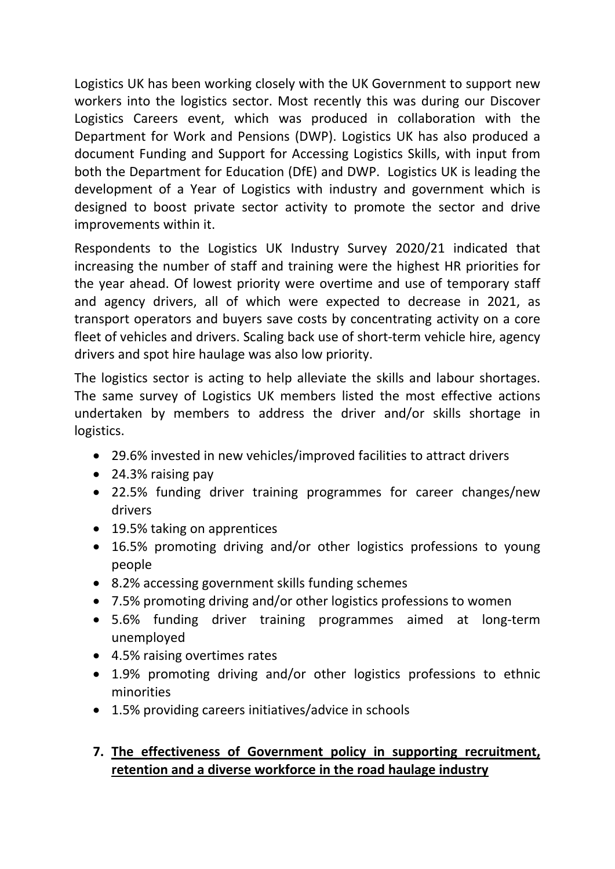Logistics UK has been working closely with the UK Government to support new workers into the logistics sector. Most recently this was during our Discover Logistics Careers event, which was produced in collaboration with the Department for Work and Pensions (DWP). Logistics UK has also produced a document Funding and Support for Accessing Logistics Skills, with input from both the Department for Education (DfE) and DWP. Logistics UK is leading the development of a Year of Logistics with industry and government which is designed to boost private sector activity to promote the sector and drive improvements within it.

Respondents to the Logistics UK Industry Survey 2020/21 indicated that increasing the number of staff and training were the highest HR priorities for the year ahead. Of lowest priority were overtime and use of temporary staff and agency drivers, all of which were expected to decrease in 2021, as transport operators and buyers save costs by concentrating activity on a core fleet of vehicles and drivers. Scaling back use of short-term vehicle hire, agency drivers and spot hire haulage was also low priority.

The logistics sector is acting to help alleviate the skills and labour shortages. The same survey of Logistics UK members listed the most effective actions undertaken by members to address the driver and/or skills shortage in logistics.

- 29.6% invested in new vehicles/improved facilities to attract drivers
- 24.3% raising pay
- 22.5% funding driver training programmes for career changes/new drivers
- 19.5% taking on apprentices
- 16.5% promoting driving and/or other logistics professions to young people
- 8.2% accessing government skills funding schemes
- 7.5% promoting driving and/or other logistics professions to women
- 5.6% funding driver training programmes aimed at long-term unemployed
- 4.5% raising overtimes rates
- 1.9% promoting driving and/or other logistics professions to ethnic minorities
- 1.5% providing careers initiatives/advice in schools

# **7. The effectiveness of Government policy in supporting recruitment, retention and a diverse workforce in the road haulage industry**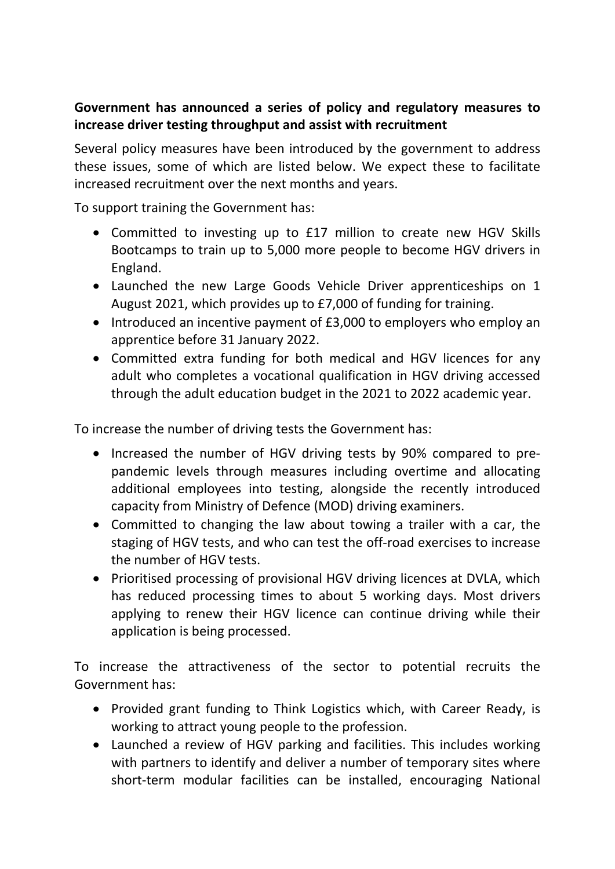## **Government has announced a series of policy and regulatory measures to increase driver testing throughput and assist with recruitment**

Several policy measures have been introduced by the government to address these issues, some of which are listed below. We expect these to facilitate increased recruitment over the next months and years.

To support training the Government has:

- Committed to investing up to £17 million to create new HGV Skills Bootcamps to train up to 5,000 more people to become HGV drivers in England.
- Launched the new Large Goods Vehicle Driver apprenticeships on 1 August 2021, which provides up to £7,000 of funding for training.
- Introduced an incentive payment of £3,000 to employers who employ an apprentice before 31 January 2022.
- Committed extra funding for both medical and HGV licences for any adult who completes a vocational qualification in HGV driving accessed through the adult education budget in the 2021 to 2022 academic year.

To increase the number of driving tests the Government has:

- Increased the number of HGV driving tests by 90% compared to prepandemic levels through measures including overtime and allocating additional employees into testing, alongside the recently introduced capacity from Ministry of Defence (MOD) driving examiners.
- Committed to changing the law about towing a trailer with a car, the staging of HGV tests, and who can test the off-road exercises to increase the number of HGV tests.
- Prioritised processing of provisional HGV driving licences at DVLA, which has reduced processing times to about 5 working days. Most drivers applying to renew their HGV licence can continue driving while their application is being processed.

To increase the attractiveness of the sector to potential recruits the Government has:

- Provided grant funding to Think Logistics which, with Career Ready, is working to attract young people to the profession.
- Launched a review of HGV parking and facilities. This includes working with partners to identify and deliver a number of temporary sites where short-term modular facilities can be installed, encouraging National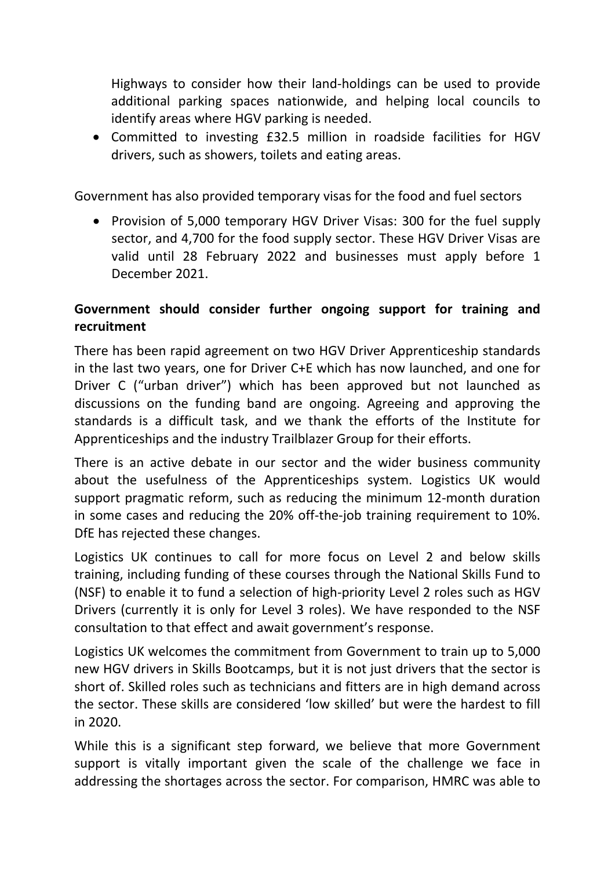Highways to consider how their land-holdings can be used to provide additional parking spaces nationwide, and helping local councils to identify areas where HGV parking is needed.

 Committed to investing £32.5 million in roadside facilities for HGV drivers, such as showers, toilets and eating areas.

Government has also provided temporary visas for the food and fuel sectors

• Provision of 5,000 temporary HGV Driver Visas: 300 for the fuel supply sector, and 4,700 for the food supply sector. These HGV Driver Visas are valid until 28 February 2022 and businesses must apply before 1 December 2021.

# **Government should consider further ongoing support for training and recruitment**

There has been rapid agreement on two HGV Driver Apprenticeship standards in the last two years, one for Driver C+E which has now launched, and one for Driver C ("urban driver") which has been approved but not launched as discussions on the funding band are ongoing. Agreeing and approving the standards is a difficult task, and we thank the efforts of the Institute for Apprenticeships and the industry Trailblazer Group for their efforts.

There is an active debate in our sector and the wider business community about the usefulness of the Apprenticeships system. Logistics UK would support pragmatic reform, such as reducing the minimum 12-month duration in some cases and reducing the 20% off-the-job training requirement to 10%. DfE has rejected these changes.

Logistics UK continues to call for more focus on Level 2 and below skills training, including funding of these courses through the National Skills Fund to (NSF) to enable it to fund a selection of high-priority Level 2 roles such as HGV Drivers (currently it is only for Level 3 roles). We have responded to the NSF consultation to that effect and await government's response.

Logistics UK welcomes the commitment from Government to train up to 5,000 new HGV drivers in Skills Bootcamps, but it is not just drivers that the sector is short of. Skilled roles such as technicians and fitters are in high demand across the sector. These skills are considered 'low skilled' but were the hardest to fill in 2020.

While this is a significant step forward, we believe that more Government support is vitally important given the scale of the challenge we face in addressing the shortages across the sector. For comparison, HMRC was able to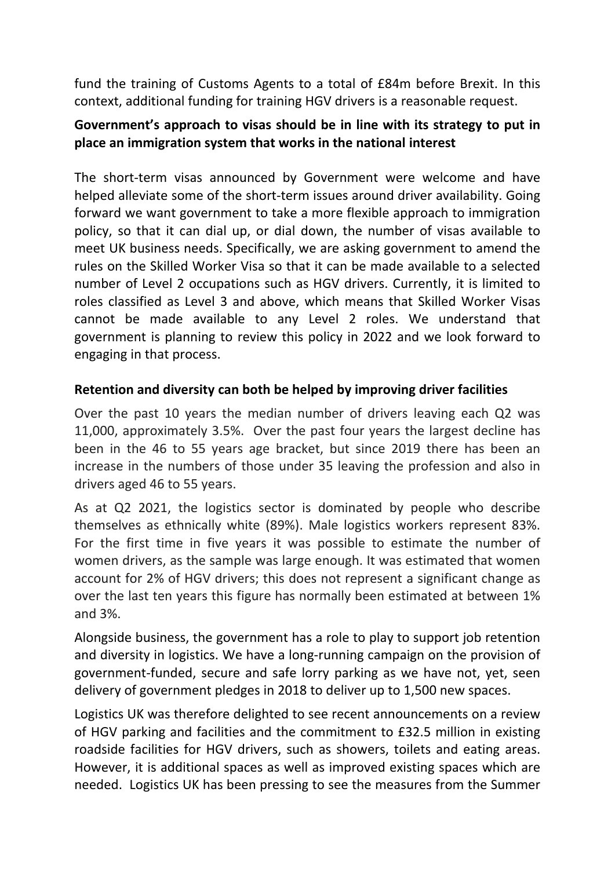fund the training of Customs Agents to a total of £84m before Brexit. In this context, additional funding for training HGV drivers is a reasonable request.

## **Government's approach to visas should be in line with its strategy to put in place an immigration system that works in the national interest**

The short-term visas announced by Government were welcome and have helped alleviate some of the short-term issues around driver availability. Going forward we want government to take a more flexible approach to immigration policy, so that it can dial up, or dial down, the number of visas available to meet UK business needs. Specifically, we are asking government to amend the rules on the Skilled Worker Visa so that it can be made available to a selected number of Level 2 occupations such as HGV drivers. Currently, it is limited to roles classified as Level 3 and above, which means that Skilled Worker Visas cannot be made available to any Level 2 roles. We understand that government is planning to review this policy in 2022 and we look forward to engaging in that process.

#### **Retention and diversity can both be helped by improving driver facilities**

Over the past 10 years the median number of drivers leaving each Q2 was 11,000, approximately 3.5%. Over the past four years the largest decline has been in the 46 to 55 years age bracket, but since 2019 there has been an increase in the numbers of those under 35 leaving the profession and also in drivers aged 46 to 55 years.

As at Q2 2021, the logistics sector is dominated by people who describe themselves as ethnically white (89%). Male logistics workers represent 83%. For the first time in five years it was possible to estimate the number of women drivers, as the sample was large enough. It was estimated that women account for 2% of HGV drivers; this does not represent a significant change as over the last ten years this figure has normally been estimated at between 1% and 3%.

Alongside business, the government has a role to play to support job retention and diversity in logistics. We have a long-running campaign on the provision of government-funded, secure and safe lorry parking as we have not, yet, seen delivery of government pledges in 2018 to deliver up to 1,500 new spaces.

Logistics UK was therefore delighted to see recent announcements on a review of HGV parking and facilities and the commitment to £32.5 million in existing roadside facilities for HGV drivers, such as showers, toilets and eating areas. However, it is additional spaces as well as improved existing spaces which are needed. Logistics UK has been pressing to see the measures from the Summer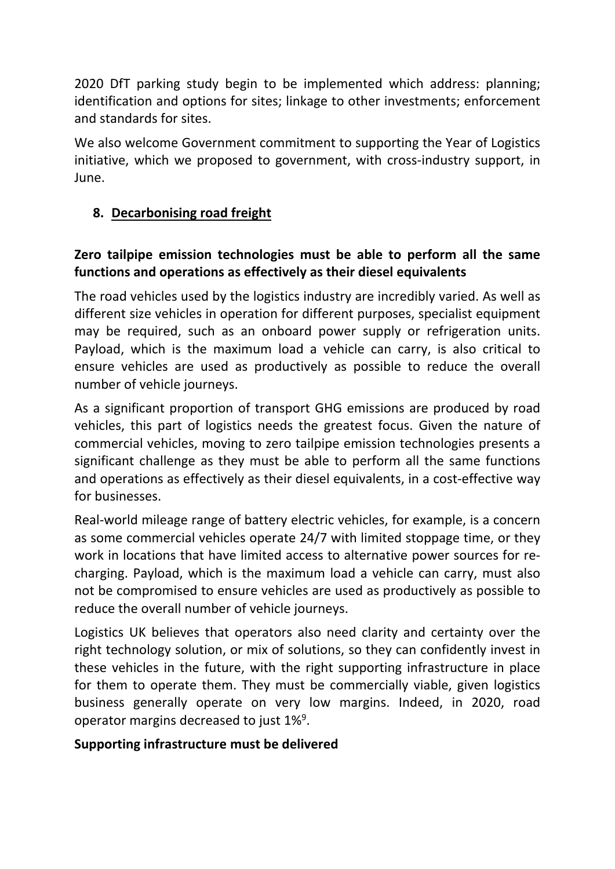2020 DfT parking study begin to be implemented which address: planning; identification and options for sites; linkage to other investments; enforcement and standards for sites.

We also welcome Government commitment to supporting the Year of Logistics initiative, which we proposed to government, with cross-industry support, in June.

# **8. Decarbonising road freight**

# **Zero tailpipe emission technologies must be able to perform all the same functions and operations as effectively as their diesel equivalents**

The road vehicles used by the logistics industry are incredibly varied. As well as different size vehicles in operation for different purposes, specialist equipment may be required, such as an onboard power supply or refrigeration units. Payload, which is the maximum load a vehicle can carry, is also critical to ensure vehicles are used as productively as possible to reduce the overall number of vehicle journeys.

As a significant proportion of transport GHG emissions are produced by road vehicles, this part of logistics needs the greatest focus. Given the nature of commercial vehicles, moving to zero tailpipe emission technologies presents a significant challenge as they must be able to perform all the same functions and operations as effectively as their diesel equivalents, in a cost-effective way for businesses.

Real-world mileage range of battery electric vehicles, for example, is a concern as some commercial vehicles operate 24/7 with limited stoppage time, or they work in locations that have limited access to alternative power sources for recharging. Payload, which is the maximum load a vehicle can carry, must also not be compromised to ensure vehicles are used as productively as possible to reduce the overall number of vehicle journeys.

Logistics UK believes that operators also need clarity and certainty over the right technology solution, or mix of solutions, so they can confidently invest in these vehicles in the future, with the right supporting infrastructure in place for them to operate them. They must be commercially viable, given logistics business generally operate on very low margins. Indeed, in 2020, road operator margins decreased to just 1%<sup>9</sup>.

## **Supporting infrastructure must be delivered**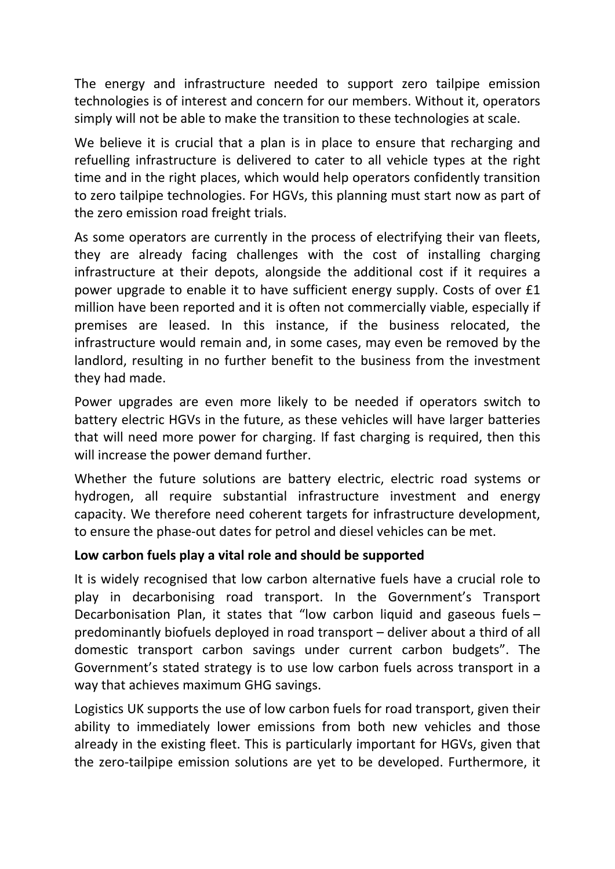The energy and infrastructure needed to support zero tailpipe emission technologies is of interest and concern for our members. Without it, operators simply will not be able to make the transition to these technologies at scale.

We believe it is crucial that a plan is in place to ensure that recharging and refuelling infrastructure is delivered to cater to all vehicle types at the right time and in the right places, which would help operators confidently transition to zero tailpipe technologies. For HGVs, this planning must start now as part of the zero emission road freight trials.

As some operators are currently in the process of electrifying their van fleets, they are already facing challenges with the cost of installing charging infrastructure at their depots, alongside the additional cost if it requires a power upgrade to enable it to have sufficient energy supply. Costs of over £1 million have been reported and it is often not commercially viable, especially if premises are leased. In this instance, if the business relocated, the infrastructure would remain and, in some cases, may even be removed by the landlord, resulting in no further benefit to the business from the investment they had made.

Power upgrades are even more likely to be needed if operators switch to battery electric HGVs in the future, as these vehicles will have larger batteries that will need more power for charging. If fast charging is required, then this will increase the power demand further.

Whether the future solutions are battery electric, electric road systems or hydrogen, all require substantial infrastructure investment and energy capacity. We therefore need coherent targets for infrastructure development, to ensure the phase-out dates for petrol and diesel vehicles can be met.

#### **Low carbon fuels play a vital role and should be supported**

It is widely recognised that low carbon alternative fuels have a crucial role to play in decarbonising road transport. In the Government's Transport Decarbonisation Plan, it states that "low carbon liquid and gaseous fuels – predominantly biofuels deployed in road transport – deliver about a third of all domestic transport carbon savings under current carbon budgets". The Government's stated strategy is to use low carbon fuels across transport in a way that achieves maximum GHG savings.

Logistics UK supports the use of low carbon fuels for road transport, given their ability to immediately lower emissions from both new vehicles and those already in the existing fleet. This is particularly important for HGVs, given that the zero-tailpipe emission solutions are yet to be developed. Furthermore, it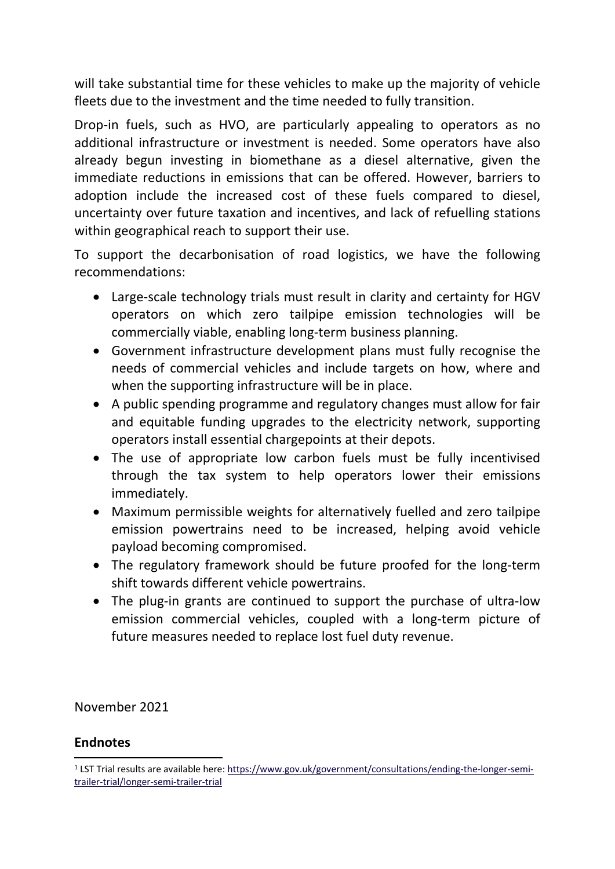will take substantial time for these vehicles to make up the majority of vehicle fleets due to the investment and the time needed to fully transition.

Drop-in fuels, such as HVO, are particularly appealing to operators as no additional infrastructure or investment is needed. Some operators have also already begun investing in biomethane as a diesel alternative, given the immediate reductions in emissions that can be offered. However, barriers to adoption include the increased cost of these fuels compared to diesel, uncertainty over future taxation and incentives, and lack of refuelling stations within geographical reach to support their use.

To support the decarbonisation of road logistics, we have the following recommendations:

- Large-scale technology trials must result in clarity and certainty for HGV operators on which zero tailpipe emission technologies will be commercially viable, enabling long-term business planning.
- Government infrastructure development plans must fully recognise the needs of commercial vehicles and include targets on how, where and when the supporting infrastructure will be in place.
- A public spending programme and regulatory changes must allow for fair and equitable funding upgrades to the electricity network, supporting operators install essential chargepoints at their depots.
- The use of appropriate low carbon fuels must be fully incentivised through the tax system to help operators lower their emissions immediately.
- Maximum permissible weights for alternatively fuelled and zero tailpipe emission powertrains need to be increased, helping avoid vehicle payload becoming compromised.
- The regulatory framework should be future proofed for the long-term shift towards different vehicle powertrains.
- The plug-in grants are continued to support the purchase of ultra-low emission commercial vehicles, coupled with a long-term picture of future measures needed to replace lost fuel duty revenue.

November 2021

## **Endnotes**

<sup>&</sup>lt;sup>1</sup> LST Trial results are available here: [https://www.gov.uk/government/consultations/ending-the-longer-semi](https://www.gov.uk/government/consultations/ending-the-longer-semi-trailer-trial/longer-semi-trailer-trial)[trailer-trial/longer-semi-trailer-trial](https://www.gov.uk/government/consultations/ending-the-longer-semi-trailer-trial/longer-semi-trailer-trial)